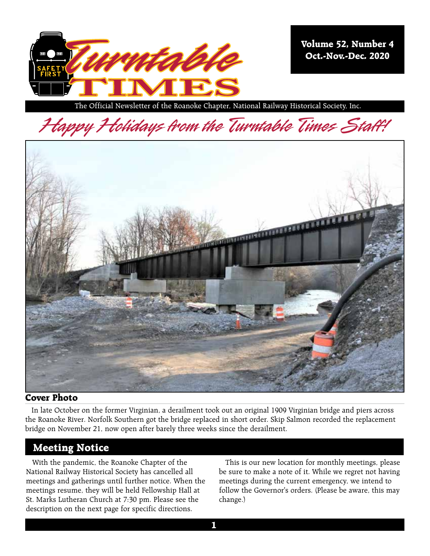

**Volume 52, Number 4 Oct.-Nov.-Dec. 2020**

The Official Newsletter of the Roanoke Chapter, National Railway Historical Society, Inc.

Happy Holidays from the Turntable Times Staff!



#### **Cover Photo**

In late October on the former Virginian, a derailment took out an original 1909 Virginian bridge and piers across the Roanoke River. Norfolk Southern got the bridge replaced in short order. Skip Salmon recorded the replacement bridge on November 21, now open after barely three weeks since the derailment.

# **Meeting Notice**

With the pandemic, the Roanoke Chapter of the National Railway Historical Society has cancelled all meetings and gatherings until further notice. When the meetings resume, they will be held Fellowship Hall at St. Marks Lutheran Church at 7:30 pm. Please see the description on the next page for specific directions.

This is our new location for monthly meetings, please be sure to make a note of it. While we regret not having meetings during the current emergency, we intend to follow the Governor's orders. (Please be aware, this may change.)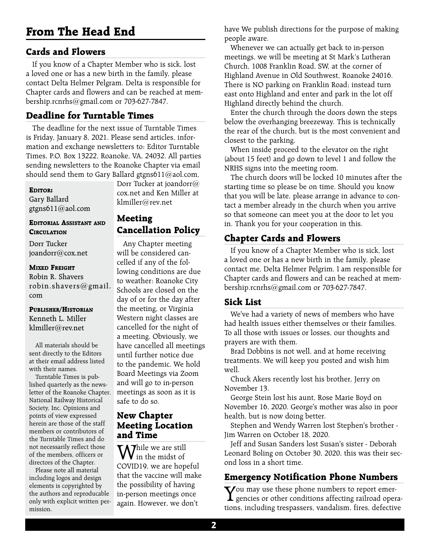# **From The Head End**

# **Cards and Flowers**

If you know of a Chapter Member who is sick, lost a loved one or has a new birth in the family, please contact Delta Helmer Pelgram. Delta is responsible for Chapter cards and flowers and can be reached at membership.rcnrhs@gmail.com or 703-627-7847.

# **Deadline for Turntable Times**

The deadline for the next issue of Turntable Times is Friday, January 8, 2021. Please send articles, information and exchange newsletters to: Editor Turntable Times, P.O. Box 13222, Roanoke, VA, 24032. All parties sending newsletters to the Roanoke Chapter via email should send them to Gary Ballard gtgns611@aol.com,

#### **Editor:**

Gary Ballard gtgns611@aol.com

#### **Editorial Assistant and Circulation**

Dorr Tucker joandorr@cox.net

#### **Mixed Freight**

Robin R. Shavers robin.shavers@gmail. com

# **Publisher/Historian**

Kenneth L. Miller klmiller@rev.net

All materials should be sent directly to the Editors at their email address listed with their names.

Turntable Times is published quarterly as the newsletter of the Roanoke Chapter, National Railway Historical Society, Inc. Opinions and points of view expressed herein are those of the staff members or contributors of the Turntable Times and do not necessarily reflect those of the members, officers or directors of the Chapter.

Please note all material including logos and design elements is copyrighted by the authors and reproducable only with explicit written permission.

Dorr Tucker at joandorr@ cox.net and Ken Miller at klmiller@rev.net

#### **Meeting Cancellation Policy**

Any Chapter meeting will be considered cancelled if any of the following conditions are due to weather: Roanoke City Schools are closed on the day of or for the day after the meeting, or Virginia Western night classes are cancelled for the night of a meeting. Obviously, we have cancelled all meetings until further notice due to the pandemic. We hold Board Meetings via Zoom and will go to in-person meetings as soon as it is safe to do so.

### **New Chapter Meeting Location and Time**

**M**<sup>hile</sup> we are still  $\boldsymbol{\mathsf{V}}$  in the midst of COVID19, we are hopeful that the vaccine will make the possibility of having in-person meetings once again. However, we don't

have We publish directions for the purpose of making people aware.

Whenever we can actually get back to in-person meetings, we will be meeting at St Mark's Lutheran Church, 1008 Franklin Road, SW, at the corner of Highland Avenue in Old Southwest, Roanoke 24016. There is NO parking on Franklin Road; instead turn east onto Highland and enter and park in the lot off Highland directly behind the church.

Enter the church through the doors down the steps below the overhanging breezeway. This is technically the rear of the church, but is the most convenient and closest to the parking.

When inside proceed to the elevator on the right (about 15 feet) and go down to level 1 and follow the NRHS signs into the meeting room.

The church doors will be locked 10 minutes after the starting time so please be on time. Should you know that you will be late, please arrange in advance to contact a member already in the church when you arrive so that someone can meet you at the door to let you in. Thank you for your cooperation in this.

# **Chapter Cards and Flowers**

If you know of a Chapter Member who is sick, lost a loved one or has a new birth in the family, please contact me, Delta Helmer Pelgrim. I am responsible for Chapter cards and flowers and can be reached at membership.rcnrhs@gmail.com or 703-627-7847.

# **Sick List**

We've had a variety of news of members who have had health issues either themselves or their families. To all those with issues or losses, our thoughts and prayers are with them.

Brad Dobbins is not well, and at home receiving treatments. We will keep you posted and wish him well.

Chuck Akers recently lost his brother, Jerry on November 13.

George Stein lost his aunt, Rose Marie Boyd on November 16, 2020. George's mother was also in poor health, but is now doing better.

Stephen and Wendy Warren lost Stephen's brother - Jim Warren on October 18, 2020.

Jeff and Susan Sanders lost Susan's sister - Deborah Leonard Boling on October 30, 2020, this was their second loss in a short time.

# **Emergency Notification Phone Numbers**

You may use these phone numbers to report emer-gencies or other conditions affecting railroad operations, including trespassers, vandalism, fires, defective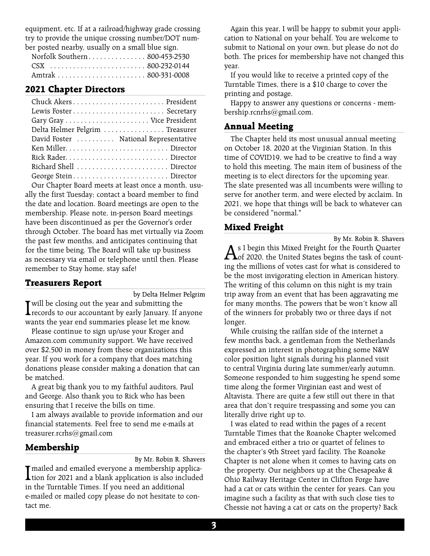equipment, etc. If at a railroad/highway grade crossing try to provide the unique crossing number/DOT number posted nearby, usually on a small blue sign.

|  | Norfolk Southern 800-453-2530 |
|--|-------------------------------|
|  |                               |
|  |                               |

### **2021 Chapter Directors**

| Delta Helmer Pelgrim  Treasurer       |
|---------------------------------------|
| David Foster  National Representative |
|                                       |
|                                       |
|                                       |
|                                       |
|                                       |

Our Chapter Board meets at least once a month, usually the first Tuesday; contact a board member to find the date and location. Board meetings are open to the membership. Please note, in-person Board meetings have been discontinued as per the Governor's order through October. The board has met virtually via Zoom the past few months, and anticipates continuing that for the time being. The Board will take up business as necessary via email or telephone until then. Please remember to Stay home, stay safe!

#### **Treasurers Report**

by Delta Helmer Pelgrim

**I** will be closing out the year and submitting the records to our accountant by early January. If anyone wants the year end summaries please let me know.

Please continue to sign up/use your Kroger and Amazon.com community support. We have received over \$2,500 in money from these organizations this year. If you work for a company that does matching donations please consider making a donation that can be matched.

A great big thank you to my faithful auditors, Paul and George. Also thank you to Rick who has been ensuring that I receive the bills on time.

I am always available to provide information and our financial statements. Feel free to send me e-mails at treasurer.rcrhs@gmail.com

# **Membership**

By Mr. Robin R. Shavers

I mailed and emailed everyone a membership application for 2021 and a blank application is also included in the Turntable Times. If you need an additional e-mailed or mailed copy please do not hesitate to contact me.

Again this year, I will be happy to submit your application to National on your behalf. You are welcome to submit to National on your own, but please do not do both. The prices for membership have not changed this year.

If you would like to receive a printed copy of the Turntable Times, there is a \$10 charge to cover the printing and postage.

Happy to answer any questions or concerns - membership.rcnrhs@gmail.com.

### **Annual Meeting**

The Chapter held its most unusual annual meeting on October 18, 2020 at the Virginian Station. In this time of COVID19, we had to be creative to find a way to hold this meeting. The main item of business of the meeting is to elect directors for the upcoming year. The slate presented was all incumbents were willing to serve for another term, and were elected by acclaim. In 2021, we hope that things will be back to whatever can be considered "normal."

# **Mixed Freight**

By Mr. Robin R. Shavers As I begin this Mixed Freight for the Fourth Quarter<br>Of 2020, the United States begins the task of counting the millions of votes cast for what is considered to be the most invigorating election in American history. The writing of this column on this night is my train trip away from an event that has been aggravating me for many months. The powers that be won't know all of the winners for probably two or three days if not longer.

While cruising the railfan side of the internet a few months back, a gentleman from the Netherlands expressed an interest in photographing some N&W color position light signals during his planned visit to central Virginia during late summer/early autumn. Someone responded to him suggesting he spend some time along the former Virginian east and west of Altavista. There are quite a few still out there in that area that don't require trespassing and some you can literally drive right up to.

I was elated to read within the pages of a recent Turntable Times that the Roanoke Chapter welcomed and embraced either a trio or quartet of felines to the chapter's 9th Street yard facility. The Roanoke Chapter is not alone when it comes to having cats on the property. Our neighbors up at the Chesapeake & Ohio Railway Heritage Center in Clifton Forge have had a cat or cats within the center for years. Can you imagine such a facility as that with such close ties to Chessie not having a cat or cats on the property? Back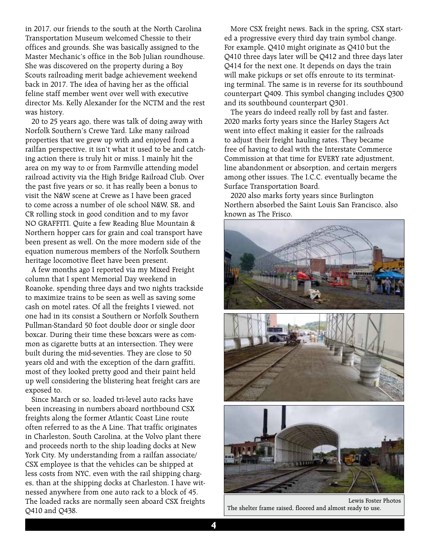in 2017, our friends to the south at the North Carolina Transportation Museum welcomed Chessie to their offices and grounds. She was basically assigned to the Master Mechanic's office in the Bob Julian roundhouse. She was discovered on the property during a Boy Scouts railroading merit badge achievement weekend back in 2017. The idea of having her as the official feline staff member went over well with executive director Ms. Kelly Alexander for the NCTM and the rest was history.

20 to 25 years ago, there was talk of doing away with Norfolk Southern's Crewe Yard. Like many railroad properties that we grew up with and enjoyed from a railfan perspective, it isn't what it used to be and catching action there is truly hit or miss. I mainly hit the area on my way to or from Farmville attending model railroad activity via the High Bridge Railroad Club. Over the past five years or so, it has really been a bonus to visit the N&W scene at Crewe as I have been graced to come across a number of ole school N&W, SR, and CR rolling stock in good condition and to my favor NO GRAFFITI. Quite a few Reading Blue Mountain & Northern hopper cars for grain and coal transport have been present as well. On the more modern side of the equation numerous members of the Norfolk Southern heritage locomotive fleet have been present.

A few months ago I reported via my Mixed Freight column that I spent Memorial Day weekend in Roanoke, spending three days and two nights trackside to maximize trains to be seen as well as saving some cash on motel rates. Of all the freights I viewed, not one had in its consist a Southern or Norfolk Southern Pullman-Standard 50 foot double door or single door boxcar. During their time these boxcars were as common as cigarette butts at an intersection. They were built during the mid-seventies. They are close to 50 years old and with the exception of the darn graffiti, most of they looked pretty good and their paint held up well considering the blistering heat freight cars are exposed to.

Since March or so, loaded tri-level auto racks have been increasing in numbers aboard northbound CSX freights along the former Atlantic Coast Line route often referred to as the A Line. That traffic originates in Charleston, South Carolina, at the Volvo plant there and proceeds north to the ship loading docks at New York City. My understanding from a railfan associate/ CSX employee is that the vehicles can be shipped at less costs from NYC, even with the rail shipping charges, than at the shipping docks at Charleston. I have witnessed anywhere from one auto rack to a block of 45. The loaded racks are normally seen aboard CSX freights Q410 and Q438.

More CSX freight news. Back in the spring, CSX started a progressive every third day train symbol change. For example, Q410 might originate as Q410 but the Q410 three days later will be Q412 and three days later Q414 for the next one. It depends on days the train will make pickups or set offs enroute to its terminating terminal. The same is in reverse for its southbound counterpart Q409. This symbol changing includes Q300 and its southbound counterpart Q301.

The years do indeed really roll by fast and faster. 2020 marks forty years since the Harley Stagers Act went into effect making it easier for the railroads to adjust their freight hauling rates. They became free of having to deal with the Interstate Commerce Commission at that time for EVERY rate adjustment, line abandonment or absorption, and certain mergers among other issues. The I.C.C. eventually became the Surface Transportation Board.

2020 also marks forty years since Burlington Northern absorbed the Saint Louis San Francisco, also known as The Frisco.



Lewis Foster Photos The shelter frame raised, floored and almost ready to use.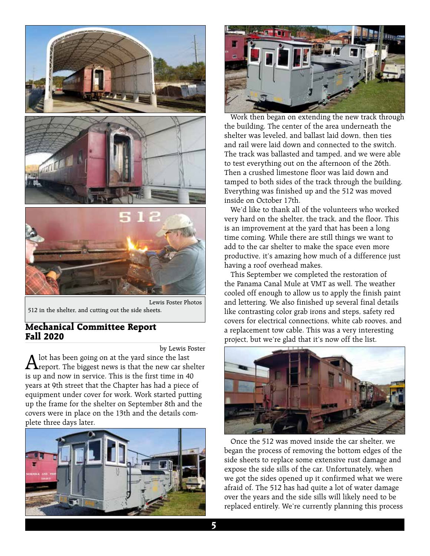

Lewis Foster Photos 512 in the shelter, and cutting out the side sheets.

### **Mechanical Committee Report Fall 2020**

by Lewis Foster

 ${\bf A}$  lot has been going on at the yard since the last report. The biggest news is that the new car shelter is up and now in service. This is the first time in 40 years at 9th street that the Chapter has had a piece of equipment under cover for work. Work started putting up the frame for the shelter on September 8th and the covers were in place on the 13th and the details complete three days later.





Work then began on extending the new track through the building. The center of the area underneath the shelter was leveled, and ballast laid down, then ties and rail were laid down and connected to the switch. The track was ballasted and tamped, and we were able to test everything out on the afternoon of the 26th. Then a crushed limestone floor was laid down and tamped to both sides of the track through the building. Everything was finished up and the 512 was moved inside on October 17th.

We'd like to thank all of the volunteers who worked very hard on the shelter, the track, and the floor. This is an improvement at the yard that has been a long time coming. While there are still things we want to add to the car shelter to make the space even more productive, it's amazing how much of a difference just having a roof overhead makes.

This September we completed the restoration of the Panama Canal Mule at VMT as well. The weather cooled off enough to allow us to apply the finish paint and lettering. We also finished up several final details like contrasting color grab irons and steps, safety red covers for electrical connections, white cab rooves, and a replacement tow cable. This was a very interesting project, but we're glad that it's now off the list.



Once the 512 was moved inside the car shelter, we began the process of removing the bottom edges of the side sheets to replace some extensive rust damage and expose the side sills of the car. Unfortunately, when we got the sides opened up it confirmed what we were afraid of. The 512 has had quite a lot of water damage over the years and the side sills will likely need to be replaced entirely. We're currently planning this process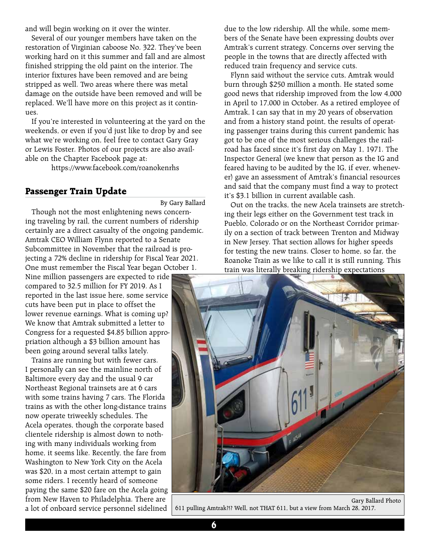and will begin working on it over the winter.

Several of our younger members have taken on the restoration of Virginian caboose No. 322. They've been working hard on it this summer and fall and are almost finished stripping the old paint on the interior. The interior fixtures have been removed and are being stripped as well. Two areas where there was metal damage on the outside have been removed and will be replaced. We'll have more on this project as it continues.

If you're interested in volunteering at the yard on the weekends, or even if you'd just like to drop by and see what we're working on, feel free to contact Gary Gray or Lewis Foster. Photos of our projects are also available on the Chapter Facebook page at:

https://www.facebook.com/roanokenrhs

#### **Passenger Train Update**

By Gary Ballard

Though not the most enlightening news concerning traveling by rail, the current numbers of ridership certainly are a direct casualty of the ongoing pandemic. Amtrak CEO William Flynn reported to a Senate Subcommittee in November that the railroad is projecting a 72% decline in ridership for Fiscal Year 2021. One must remember the Fiscal Year began October 1.

Nine million passengers are expected to ride compared to 32.5 million for FY 2019. As I reported in the last issue here, some service cuts have been put in place to offset the lower revenue earnings. What is coming up? We know that Amtrak submitted a letter to Congress for a requested \$4.85 billion appropriation although a \$3 billion amount has been going around several talks lately.

Trains are running but with fewer cars. I personally can see the mainline north of Baltimore every day and the usual 9 car Northeast Regional trainsets are at 6 cars with some trains having 7 cars. The Florida trains as with the other long-distance trains now operate triweekly schedules. The Acela operates, though the corporate based clientele ridership is almost down to nothing with many individuals working from home, it seems like. Recently, the fare from Washington to New York City on the Acela was \$20, in a most certain attempt to gain some riders. I recently heard of someone paying the same \$20 fare on the Acela going from New Haven to Philadelphia. There are a lot of onboard service personnel sidelined

due to the low ridership. All the while, some members of the Senate have been expressing doubts over Amtrak's current strategy. Concerns over serving the people in the towns that are directly affected with reduced train frequency and service cuts.

Flynn said without the service cuts, Amtrak would burn through \$250 million a month. He stated some good news that ridership improved from the low 4,000 in April to 17,000 in October. As a retired employee of Amtrak, I can say that in my 20 years of observation and from a history stand point, the results of operating passenger trains during this current pandemic has got to be one of the most serious challenges the railroad has faced since it's first day on May 1, 1971. The Inspector General (we knew that person as the IG and feared having to be audited by the IG, if ever, whenever) gave an assessment of Amtrak's financial resources and said that the company must find a way to protect it's \$3.1 billion in current available cash.

Out on the tracks, the new Acela trainsets are stretching their legs either on the Government test track in Pueblo, Colorado or on the Northeast Corridor primarily on a section of track between Trenton and Midway in New Jersey. That section allows for higher speeds for testing the new trains. Closer to home, so far, the Roanoke Train as we like to call it is still running. This train was literally breaking ridership expectations



Gary Ballard Photo 611 pulling Amtrak?!? Well, not THAT 611, but a view from March 28, 2017.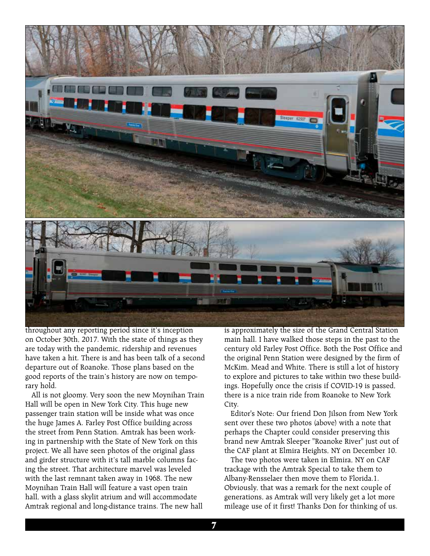

throughout any reporting period since it's inception on October 30th, 2017. With the state of things as they are today with the pandemic, ridership and revenues have taken a hit. There is and has been talk of a second departure out of Roanoke. Those plans based on the good reports of the train's history are now on temporary hold.

All is not gloomy. Very soon the new Moynihan Train Hall will be open in New York City. This huge new passenger train station will be inside what was once the huge James A. Farley Post Office building across the street from Penn Station. Amtrak has been working in partnership with the State of New York on this project. We all have seen photos of the original glass and girder structure with it's tall marble columns facing the street. That architecture marvel was leveled with the last remnant taken away in 1968. The new Moynihan Train Hall will feature a vast open train hall, with a glass skylit atrium and will accommodate Amtrak regional and long-distance trains. The new hall

is approximately the size of the Grand Central Station main hall. I have walked those steps in the past to the century old Farley Post Office. Both the Post Office and the original Penn Station were designed by the firm of McKim, Mead and White. There is still a lot of history to explore and pictures to take within two these buildings. Hopefully once the crisis if COVID-19 is passed, there is a nice train ride from Roanoke to New York City.

Editor's Note: Our friend Don Jilson from New York sent over these two photos (above) with a note that perhaps the Chapter could consider preserving this brand new Amtrak Sleeper "Roanoke River" just out of the CAF plant at Elmira Heights, NY on December 10.

The two photos were taken in Elmira, NY on CAF trackage with the Amtrak Special to take them to Albany-Rensselaer then move them to Florida.1. Obviously, that was a remark for the next couple of generations, as Amtrak will very likely get a lot more mileage use of it first! Thanks Don for thinking of us.